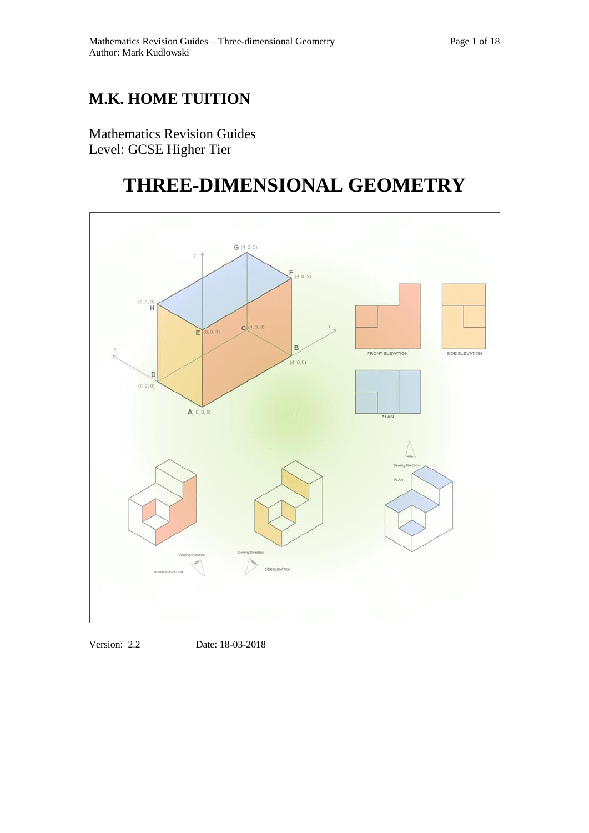## **M.K. HOME TUITION**

Mathematics Revision Guides Level: GCSE Higher Tier

# **THREE-DIMENSIONAL GEOMETRY**



Version: 2.2 Date: 18-03-2018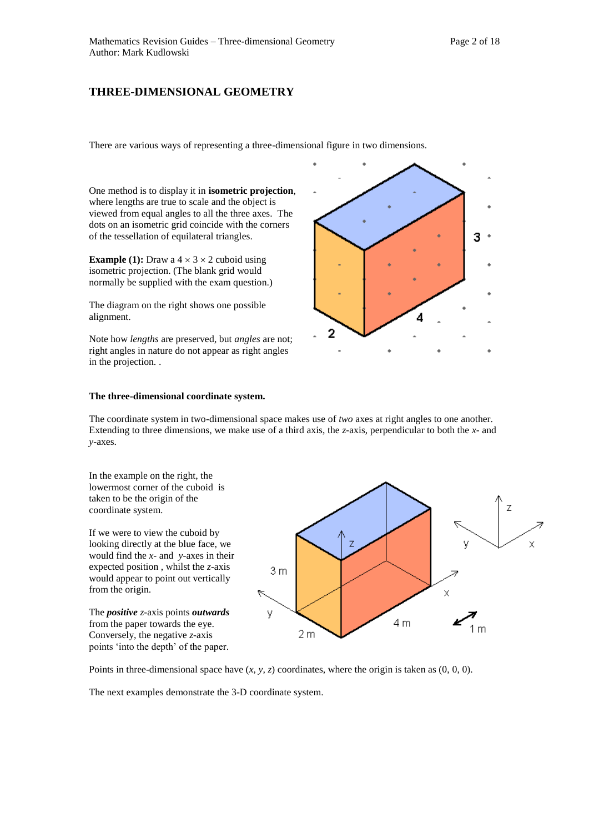### **THREE-DIMENSIONAL GEOMETRY**

There are various ways of representing a three-dimensional figure in two dimensions.

One method is to display it in **isometric projection**, where lengths are true to scale and the object is viewed from equal angles to all the three axes. The dots on an isometric grid coincide with the corners of the tessellation of equilateral triangles.

**Example (1):** Draw a  $4 \times 3 \times 2$  cuboid using isometric projection. (The blank grid would normally be supplied with the exam question.)

The diagram on the right shows one possible alignment.

Note how *lengths* are preserved, but *angles* are not; right angles in nature do not appear as right angles in the projection. .



#### **The three-dimensional coordinate system.**

The coordinate system in two-dimensional space makes use of *two* axes at right angles to one another. Extending to three dimensions, we make use of a third axis, the *z-*axis, perpendicular to both the *x-* and *y-*axes.

In the example on the right, the lowermost corner of the cuboid is taken to be the origin of the coordinate system.

If we were to view the cuboid by looking directly at the blue face, we would find the *x-* and *y-*axes in their expected position , whilst the *z*-axis would appear to point out vertically from the origin.

The *positive z-*axis points *outwards* from the paper towards the eye. Conversely, the negative *z-*axis points 'into the depth' of the paper.



Points in three-dimensional space have (*x, y, z*) coordinates, where the origin is taken as (0, 0, 0).

The next examples demonstrate the 3-D coordinate system.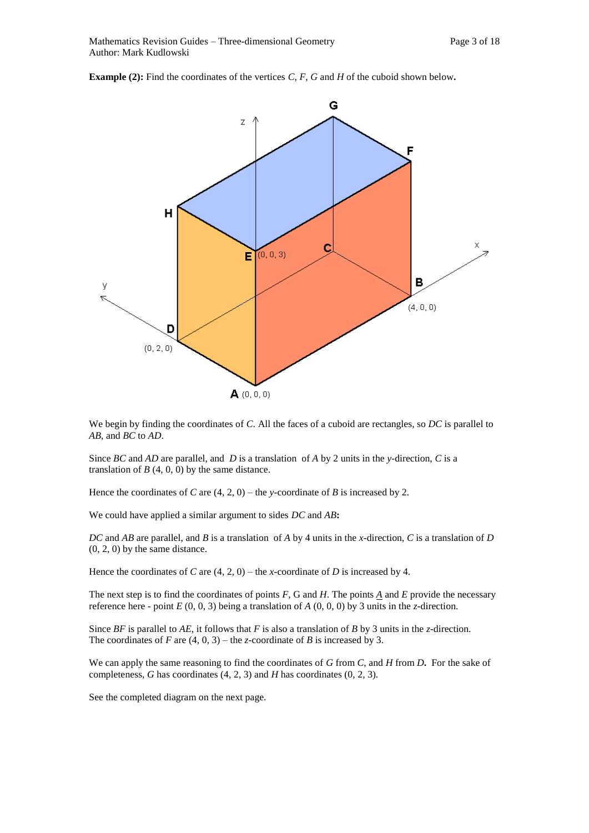**Example (2):** Find the coordinates of the vertices  $C$ ,  $F$ ,  $G$  and  $H$  of the cuboid shown below.



We begin by finding the coordinates of *C*. All the faces of a cuboid are rectangles, so *DC* is parallel to *AB*, and *BC* to *AD*.

Since *BC* and *AD* are parallel, and *D* is a translationof *A* by 2 units in the *y-*direction, *C* is a translation of  $B(4, 0, 0)$  by the same distance.

Hence the coordinates of *C* are  $(4, 2, 0)$  – the *y*-coordinate of *B* is increased by 2.

We could have applied a similar argument to sides *DC* and *AB***:**

*DC* and *AB* are parallel, and *B* is a translationof *A* by 4 units in the *x-*direction, *C* is a translation of *D* (0, 2, 0) by the same distance.

Hence the coordinates of *C* are  $(4, 2, 0)$  – the *x*-coordinate of *D* is increased by 4.

The next step is to find the coordinates of points *F*, G and *H*. The points *A* and *E* provide the necessary reference here - point *E* (0, 0, 3) being a translation of *A* (0, 0, 0) by 3 units in the *z-*direction.

Since *BF* is parallel to *AE*, it follows that *F* is also a translation of *B* by 3 units in the *z-*direction. The coordinates of *F* are  $(4, 0, 3)$  – the *z*-coordinate of *B* is increased by 3.

We can apply the same reasoning to find the coordinates of *G* from *C*, and *H* from *D***.** For the sake of completeness, *G* has coordinates (4, 2, 3) and *H* has coordinates (0, 2, 3).

See the completed diagram on the next page.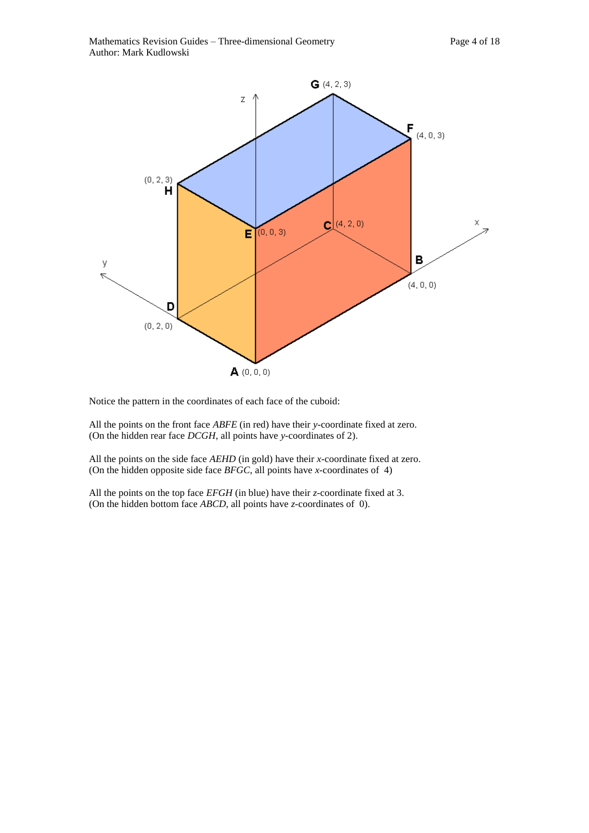

Notice the pattern in the coordinates of each face of the cuboid:

All the points on the front face *ABFE* (in red) have their *y-*coordinate fixed at zero. (On the hidden rear face *DCGH*, all points have *y-*coordinates of 2).

All the points on the side face *AEHD* (in gold) have their *x-*coordinate fixed at zero. (On the hidden opposite side face *BFGC*, all points have *x-*coordinates of 4)

All the points on the top face *EFGH* (in blue) have their *z-*coordinate fixed at 3. (On the hidden bottom face *ABCD*, all points have *z-*coordinates of 0).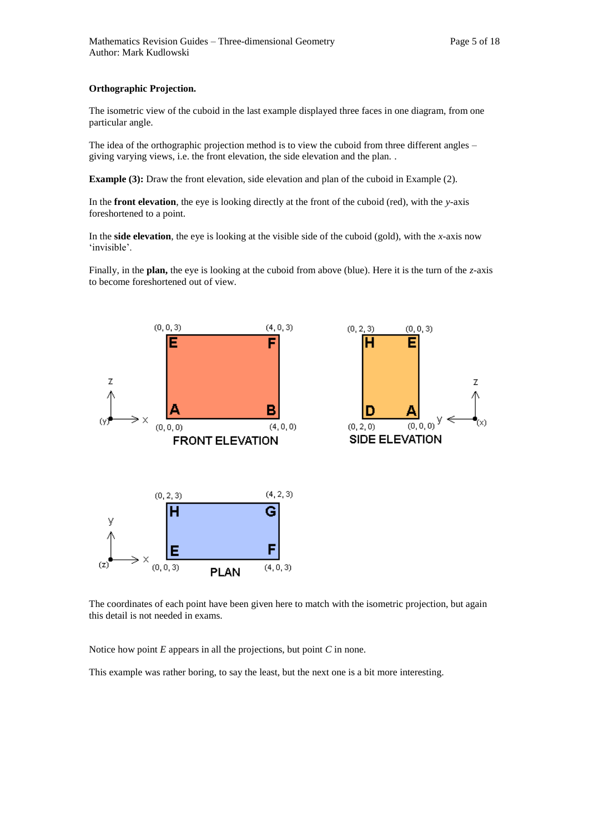The isometric view of the cuboid in the last example displayed three faces in one diagram, from one particular angle.

The idea of the orthographic projection method is to view the cuboid from three different angles – giving varying views, i.e. the front elevation, the side elevation and the plan. .

**Example (3):** Draw the front elevation, side elevation and plan of the cuboid in Example (2).

In the **front elevation**, the eye is looking directly at the front of the cuboid (red), with the *y-*axis foreshortened to a point.

In the **side elevation**, the eye is looking at the visible side of the cuboid (gold), with the *x-*axis now 'invisible'.

Finally, in the **plan,** the eye is looking at the cuboid from above (blue). Here it is the turn of the *z-*axis to become foreshortened out of view.



н Z D  $(0, 2, 0)$  $(0, 0, 0)$ SIDE ELEVATION

 $(0, 0, 3)$ 

 $(0, 2, 3)$ 

The coordinates of each point have been given here to match with the isometric projection, but again this detail is not needed in exams.

Notice how point *E* appears in all the projections, but point *C* in none.

This example was rather boring, to say the least, but the next one is a bit more interesting.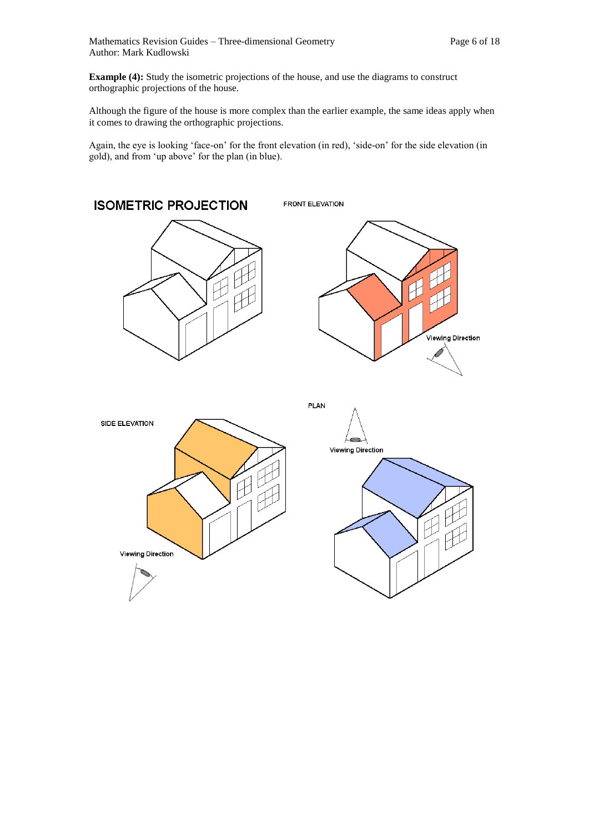**Example (4):** Study the isometric projections of the house, and use the diagrams to construct orthographic projections of the house.

Although the figure of the house is more complex than the earlier example, the same ideas apply when it comes to drawing the orthographic projections.

Again, the eye is looking 'face-on' for the front elevation (in red), 'side-on' for the side elevation (in gold), and from 'up above' for the plan (in blue).

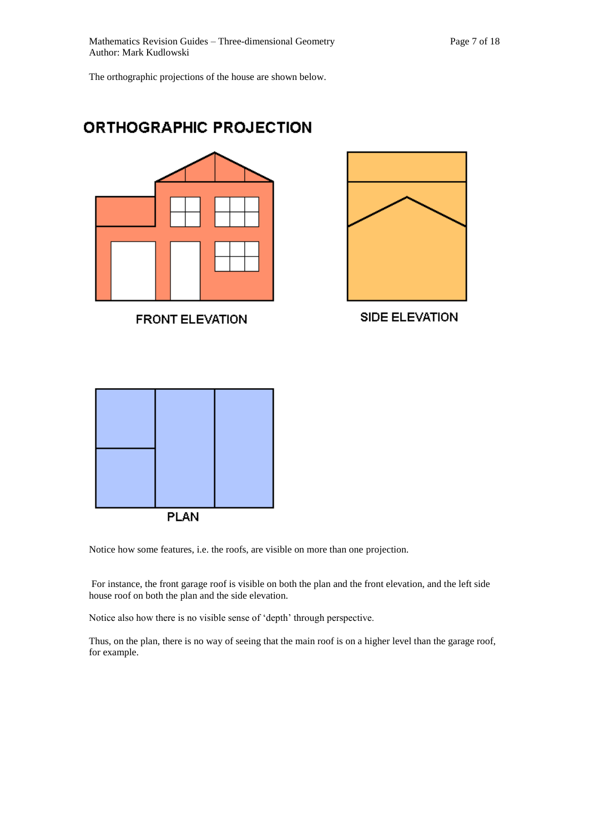The orthographic projections of the house are shown below.





**FRONT ELEVATION** 



SIDE ELEVATION



Notice how some features, i.e. the roofs, are visible on more than one projection.

For instance, the front garage roof is visible on both the plan and the front elevation, and the left side house roof on both the plan and the side elevation.

Notice also how there is no visible sense of 'depth' through perspective.

Thus, on the plan, there is no way of seeing that the main roof is on a higher level than the garage roof, for example.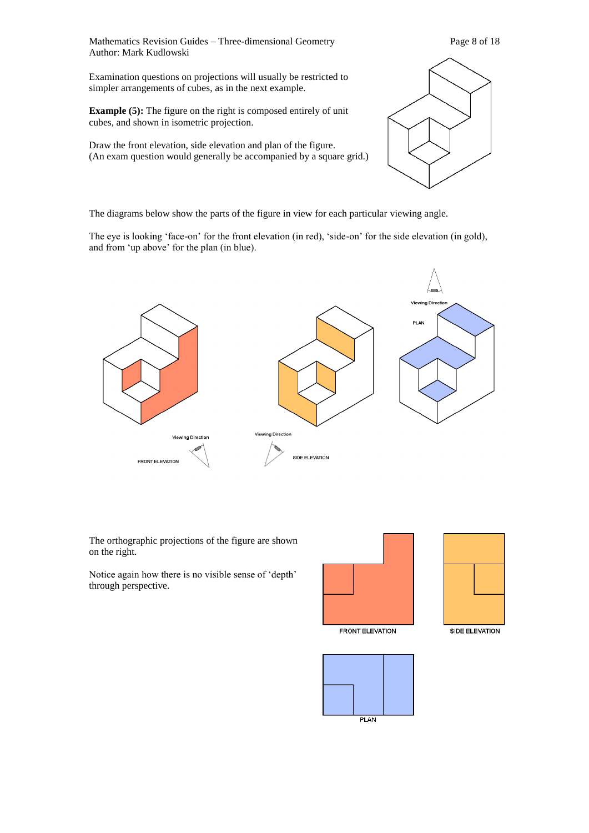Mathematics Revision Guides – Three-dimensional Geometry Page 8 of 18 Author: Mark Kudlowski

Examination questions on projections will usually be restricted to simpler arrangements of cubes, as in the next example.

**Example (5):** The figure on the right is composed entirely of unit cubes, and shown in isometric projection.

Draw the front elevation, side elevation and plan of the figure. (An exam question would generally be accompanied by a square grid.)

The diagrams below show the parts of the figure in view for each particular viewing angle.

The eye is looking 'face-on' for the front elevation (in red), 'side-on' for the side elevation (in gold), and from 'up above' for the plan (in blue).



The orthographic projections of the figure are shown on the right.

Notice again how there is no visible sense of 'depth' through perspective.



**FRONT ELEVATION** 



SIDE ELEVATION

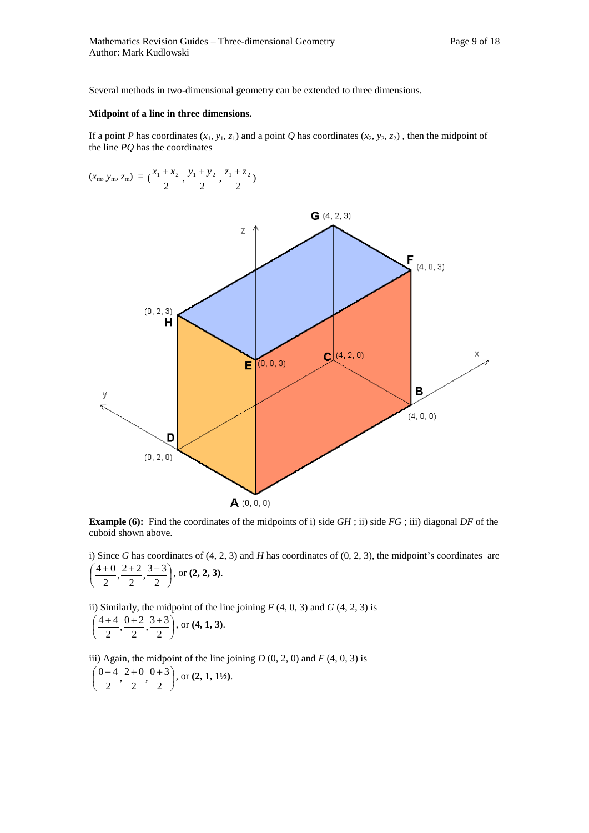Several methods in two-dimensional geometry can be extended to three dimensions.

#### **Midpoint of a line in three dimensions.**

If a point *P* has coordinates  $(x_1, y_1, z_1)$  and a point *Q* has coordinates  $(x_2, y_2, z_2)$ , then the midpoint of the line *PQ* has the coordinates

$$
(x_{\rm m}, y_{\rm m}, z_{\rm m}) = (\frac{x_1 + x_2}{2}, \frac{y_1 + y_2}{2}, \frac{z_1 + z_2}{2})
$$



**Example (6):** Find the coordinates of the midpoints of i) side *GH*; ii) side *FG*; iii) diagonal *DF* of the cuboid shown above.

i) Since *G* has coordinates of (4, 2, 3) and *H* has coordinates of (0, 2, 3), the midpoint's coordinates are J Ј  $\left(\frac{4+0}{2}, \frac{2+2}{2}, \frac{3+3}{2}\right)$ L  $(4+0 2+2 3+$ 2  $\frac{3+3}{2}$ 2  $\frac{2+2}{2}$ 2  $\frac{4+0}{1}$ ,  $\frac{2+2}{1}$ ,  $\frac{3+3}{1}$ , or  $(2, 2, 3)$ .

ii) Similarly, the midpoint of the line joining  $F(4, 0, 3)$  and  $G(4, 2, 3)$  is

$$
\left(\frac{4+4}{2}, \frac{0+2}{2}, \frac{3+3}{2}\right)
$$
, or **(4, 1, 3)**.

iii) Again, the midpoint of the line joining  $D(0, 2, 0)$  and  $F(4, 0, 3)$  is

$$
\left(\frac{0+4}{2}, \frac{2+0}{2}, \frac{0+3}{2}\right)
$$
, or **(2, 1, 1<sup>1</sup>/<sub>2</sub>)**.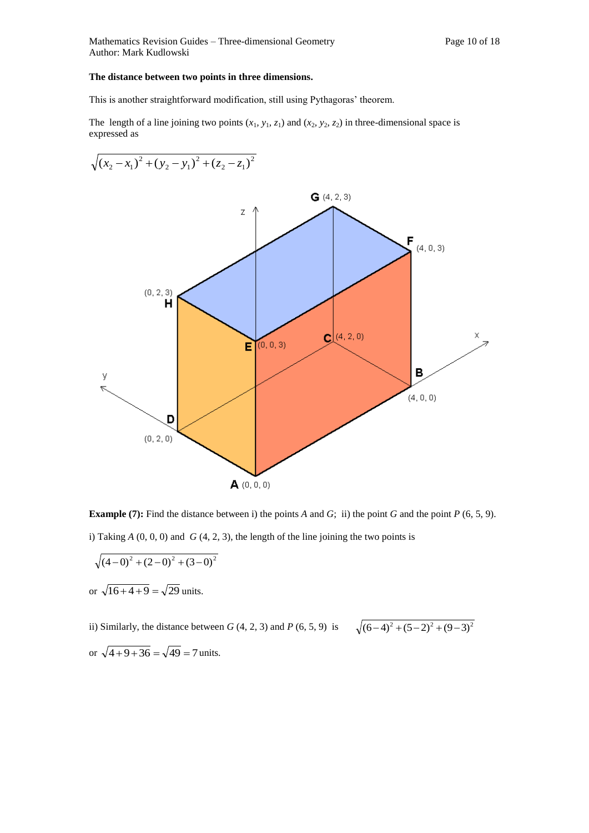#### **The distance between two points in three dimensions.**

This is another straightforward modification, still using Pythagoras' theorem.

The length of a line joining two points  $(x_1, y_1, z_1)$  and  $(x_2, y_2, z_2)$  in three-dimensional space is expressed as



**Example (7):** Find the distance between i) the points *A* and *G*; ii) the point *G* and the point *P* (6, 5, 9). i) Taking  $A(0, 0, 0)$  and  $G(4, 2, 3)$ , the length of the line joining the two points is

$$
\sqrt{(4-0)^2 + (2-0)^2 + (3-0)^2}
$$
  
or  $\sqrt{16+4+9} = \sqrt{29}$  units.

ii) Similarly, the distance between *G* (4, 2, 3) and *P* (6, 5, 9) is  $\sqrt{(6-4)^2 + (5-2)^2 + (9-3)^2}$ or  $\sqrt{4+9+36} = \sqrt{49} = 7$  units.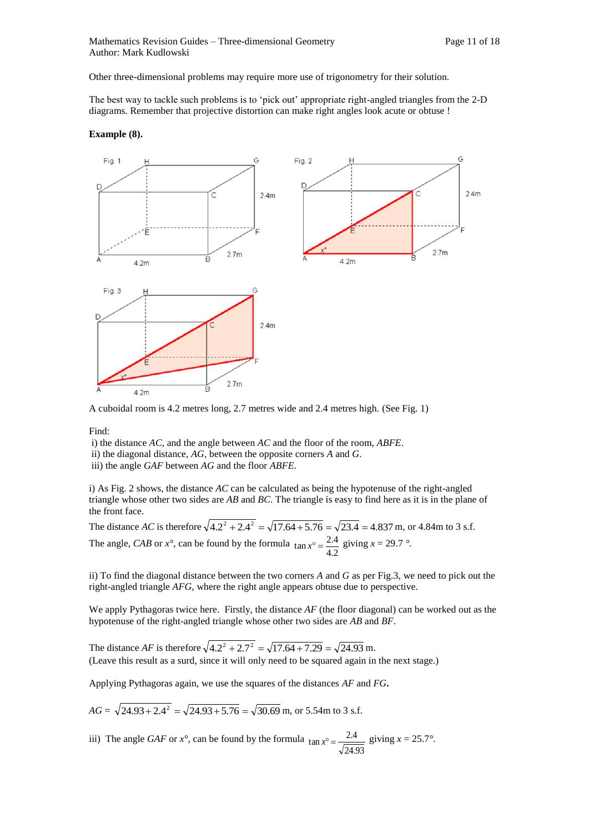Other three-dimensional problems may require more use of trigonometry for their solution.

The best way to tackle such problems is to 'pick out' appropriate right-angled triangles from the 2-D diagrams. Remember that projective distortion can make right angles look acute or obtuse !

#### **Example (8).**



A cuboidal room is 4.2 metres long, 2.7 metres wide and 2.4 metres high. (See Fig. 1)

Find:

i) the distance *AC*, and the angle between *AC* and the floor of the room, *ABFE*.

ii) the diagonal distance, *AG*, between the opposite corners *A* and *G*.

iii) the angle *GAF* between *AG* and the floor *ABFE*.

i) As Fig. 2 shows, the distance *AC* can be calculated as being the hypotenuse of the right-angled triangle whose other two sides are *AB* and *BC*. The triangle is easy to find here as it is in the plane of the front face.

The distance *AC* is therefore  $\sqrt{4.2^2 + 2.4^2} = \sqrt{17.64 + 5.76} = \sqrt{23.4} = 4.837$  m, or 4.84m to 3 s.f. The angle, *CAB* or *x°*, can be found by the formula 4.2  $\tan x^{\circ} = \frac{2.4}{1.2}$  giving  $x = 29.7$  °.

ii) To find the diagonal distance between the two corners *A* and *G* as per Fig.3, we need to pick out the right-angled triangle *AFG*, where the right angle appears obtuse due to perspective.

We apply Pythagoras twice here. Firstly, the distance *AF* (the floor diagonal) can be worked out as the hypotenuse of the right-angled triangle whose other two sides are *AB* and *BF*.

The distance *AF* is therefore  $\sqrt{4.2^2 + 2.7^2} = \sqrt{17.64 + 7.29} = \sqrt{24.93}$  m. (Leave this result as a surd, since it will only need to be squared again in the next stage.)

Applying Pythagoras again, we use the squares of the distances *AF* and *FG***.**

$$
AG = \sqrt{24.93 + 2.4^2} = \sqrt{24.93 + 5.76} = \sqrt{30.69} \text{ m, or } 5.54 \text{ m to } 3 \text{ s.f.}
$$

iii) The angle *GAF* or *x°*, can be found by the formula 24.93  $\tan x^{\circ} = \frac{2.4}{\sqrt{2\pi}}$  giving  $x = 25.7^{\circ}$ .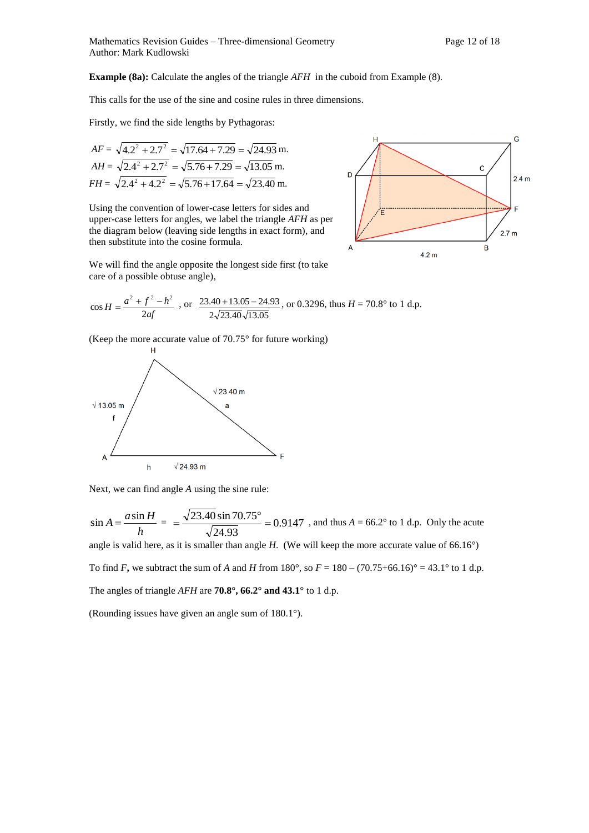**Example (8a):** Calculate the angles of the triangle *AFH* in the cuboid from Example (8).

This calls for the use of the sine and cosine rules in three dimensions.

Firstly, we find the side lengths by Pythagoras:

$$
AF = \sqrt{4.2^2 + 2.7^2} = \sqrt{17.64 + 7.29} = \sqrt{24.93} \text{ m.}
$$
  
\n
$$
AH = \sqrt{2.4^2 + 2.7^2} = \sqrt{5.76 + 7.29} = \sqrt{13.05} \text{ m.}
$$
  
\n
$$
FH = \sqrt{2.4^2 + 4.2^2} = \sqrt{5.76 + 17.64} = \sqrt{23.40} \text{ m.}
$$

Using the convention of lower-case letters for sides and upper-case letters for angles, we label the triangle *AFH* as per the diagram below (leaving side lengths in exact form), and then substitute into the cosine formula.



We will find the angle opposite the longest side first (to take care of a possible obtuse angle),

$$
\cos H = \frac{a^2 + f^2 - h^2}{2af}
$$
, or  $\frac{23.40 + 13.05 - 24.93}{2\sqrt{23.40}\sqrt{13.05}}$ , or 0.3296, thus  $H = 70.8^\circ$  to 1 d.p.

(Keep the more accurate value of 70.75° for future working)



Next, we can find angle *A* using the sine rule:

$$
\sin A = \frac{a \sin H}{h} = \frac{\sqrt{23.40} \sin 70.75^{\circ}}{\sqrt{24.93}} = 0.9147
$$
, and thus  $A = 66.2^{\circ}$  to 1 d.p. Only the acute

angle is valid here, as it is smaller than angle *H*. (We will keep the more accurate value of 66.16°)

To find *F***,** we subtract the sum of *A* and *H* from 180°, so  $F = 180 - (70.75 + 66.16)$ ° = 43.1° to 1 d.p.

The angles of triangle *AFH* are **70.8°, 66.2° and 43.1°** to 1 d.p.

(Rounding issues have given an angle sum of 180.1°).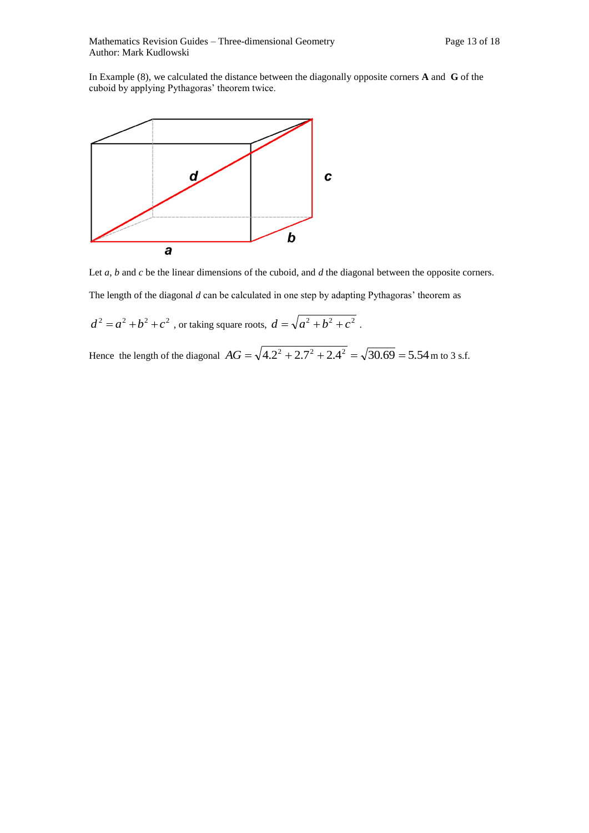In Example (8), we calculated the distance between the diagonally opposite corners **A** and **G** of the cuboid by applying Pythagoras' theorem twice.



Let *a*, *b* and *c* be the linear dimensions of the cuboid, and *d* the diagonal between the opposite corners. The length of the diagonal *d* can be calculated in one step by adapting Pythagoras' theorem as

 $d^{2} = a^{2} + b^{2} + c^{2}$ , or taking square roots,  $d = \sqrt{a^{2} + b^{2} + c^{2}}$ .

Hence the length of the diagonal  $AG = \sqrt{4.2^2 + 2.7^2 + 2.4^2} = \sqrt{30.69} = 5.54$  m to 3 s.f.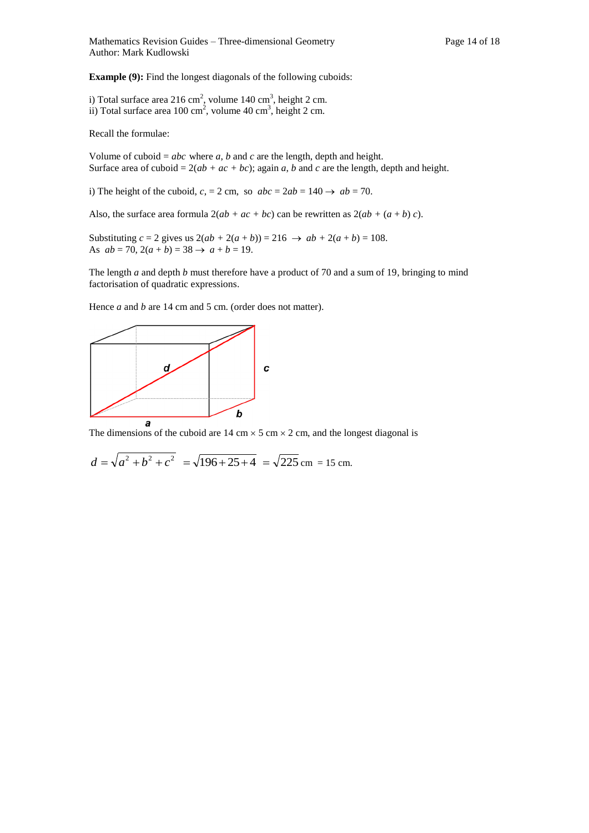**Example (9):** Find the longest diagonals of the following cuboids:

i) Total surface area 216 cm<sup>2</sup>, volume 140 cm<sup>3</sup>, height 2 cm. ii) Total surface area  $100 \text{ cm}^2$ , volume  $40 \text{ cm}^3$ , height  $2 \text{ cm}$ .

Recall the formulae:

Volume of cuboid =  $abc$  where  $a$ ,  $b$  and  $c$  are the length, depth and height. Surface area of cuboid =  $2(ab + ac + bc)$ ; again *a*, *b* and *c* are the length, depth and height.

i) The height of the cuboid,  $c = 2 \text{ cm}$ , so  $abc = 2ab = 140 \rightarrow ab = 70$ .

Also, the surface area formula  $2(ab + ac + bc)$  can be rewritten as  $2(ab + (a + b)c)$ .

Substituting *c* = 2 gives us  $2(ab + 2(a + b)) = 216 \rightarrow ab + 2(a + b) = 108$ . As  $ab = 70$ ,  $2(a + b) = 38 \rightarrow a + b = 19$ .

The length *a* and depth *b* must therefore have a product of 70 and a sum of 19, bringing to mind factorisation of quadratic expressions.

Hence *a* and *b* are 14 cm and 5 cm. (order does not matter).



The dimensions of the cuboid are  $14 \text{ cm} \times 5 \text{ cm} \times 2 \text{ cm}$ , and the longest diagonal is

$$
d = \sqrt{a^2 + b^2 + c^2} = \sqrt{196 + 25 + 4} = \sqrt{225} \text{ cm} = 15 \text{ cm}.
$$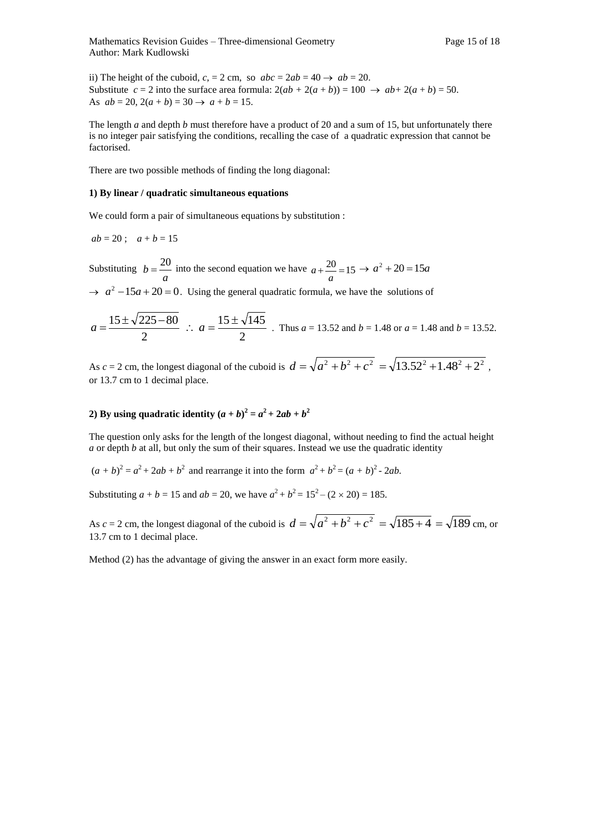ii) The height of the cuboid,  $c = 2 \text{ cm}$ , so  $abc = 2ab = 40 \rightarrow ab = 20$ . Substitute  $c = 2$  into the surface area formula:  $2(ab + 2(a + b)) = 100 \rightarrow ab + 2(a + b) = 50$ . As  $ab = 20$ ,  $2(a + b) = 30 \rightarrow a + b = 15$ .

The length *a* and depth *b* must therefore have a product of 20 and a sum of 15, but unfortunately there is no integer pair satisfying the conditions, recalling the case of a quadratic expression that cannot be factorised.

There are two possible methods of finding the long diagonal:

#### **1) By linear / quadratic simultaneous equations**

We could form a pair of simultaneous equations by substitution :

$$
ab = 20
$$
;  $a + b = 15$ 

Substituting *a*  $b = \frac{20}{15}$  into the second equation we have  $a + \frac{20}{15} = 15$  $a + \frac{20}{a} = 15 \rightarrow a^2 + 20 = 15a$ 

 $\rightarrow$   $a^2 - 15a + 20 = 0$ . Using the general quadratic formula, we have the solutions of

$$
a = \frac{15 \pm \sqrt{225 - 80}}{2}
$$
  $\therefore a = \frac{15 \pm \sqrt{145}}{2}$ . Thus  $a = 13.52$  and  $b = 1.48$  or  $a = 1.48$  and  $b = 13.52$ .

As *c* = 2 cm, the longest diagonal of the cuboid is  $d = \sqrt{a^2 + b^2 + c^2} = \sqrt{13.52^2 + 1.48^2 + 2^2}$ , or 13.7 cm to 1 decimal place.

#### **2**) By using quadratic identity  $(a + b)^2 = a^2 + 2ab + b^2$

The question only asks for the length of the longest diagonal, without needing to find the actual height *a* or depth *b* at all, but only the sum of their squares. Instead we use the quadratic identity

 $(a + b)^2 = a^2 + 2ab + b^2$  and rearrange it into the form  $a^2 + b^2 = (a + b)^2 - 2ab$ .

Substituting  $a + b = 15$  and  $ab = 20$ , we have  $a^2 + b^2 = 15^2 - (2 \times 20) = 185$ .

As  $c = 2$  cm, the longest diagonal of the cuboid is  $d = \sqrt{a^2 + b^2 + c^2} = \sqrt{185 + 4} = \sqrt{189}$  cm, or 13.7 cm to 1 decimal place.

Method (2) has the advantage of giving the answer in an exact form more easily.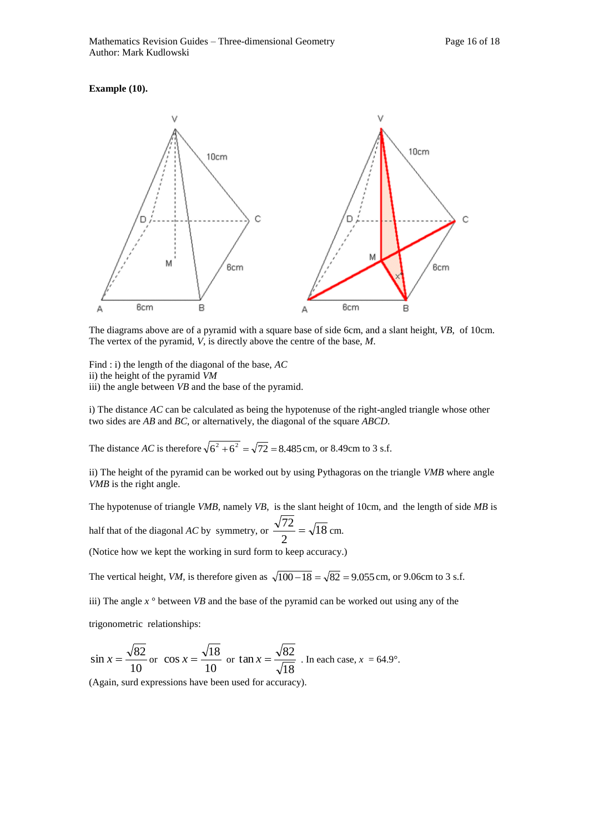#### **Example (10).**



The diagrams above are of a pyramid with a square base of side 6cm, and a slant height, *VB*, of 10cm. The vertex of the pyramid, *V*, is directly above the centre of the base, *M*.

Find : i) the length of the diagonal of the base, *AC* ii) the height of the pyramid *VM* iii) the angle between *VB* and the base of the pyramid.

i) The distance *AC* can be calculated as being the hypotenuse of the right-angled triangle whose other two sides are *AB* and *BC*, or alternatively, the diagonal of the square *ABCD*.

The distance *AC* is therefore  $\sqrt{6^2 + 6^2} = \sqrt{72} = 8.485$  cm, or 8.49cm to 3 s.f.

ii) The height of the pyramid can be worked out by using Pythagoras on the triangle *VMB* where angle *VMB* is the right angle.

The hypotenuse of triangle *VMB*, namely *VB*, is the slant height of 10cm, and the length of side *MB* is

half that of the diagonal *AC* by symmetry, or  $\frac{\sqrt{2}}{2} = \sqrt{18}$ 2  $\frac{72}{2} = \sqrt{18}$  cm.

(Notice how we kept the working in surd form to keep accuracy.)

The vertical height, *VM*, is therefore given as  $\sqrt{100-18} = \sqrt{82} = 9.055$  cm, or 9.06cm to 3 s.f.

iii) The angle  $x^{\circ}$  between *VB* and the base of the pyramid can be worked out using any of the

trigonometric relationships:

$$
\sin x = \frac{\sqrt{82}}{10}
$$
 or  $\cos x = \frac{\sqrt{18}}{10}$  or  $\tan x = \frac{\sqrt{82}}{\sqrt{18}}$ . In each case,  $x = 64.9^{\circ}$ .

(Again, surd expressions have been used for accuracy).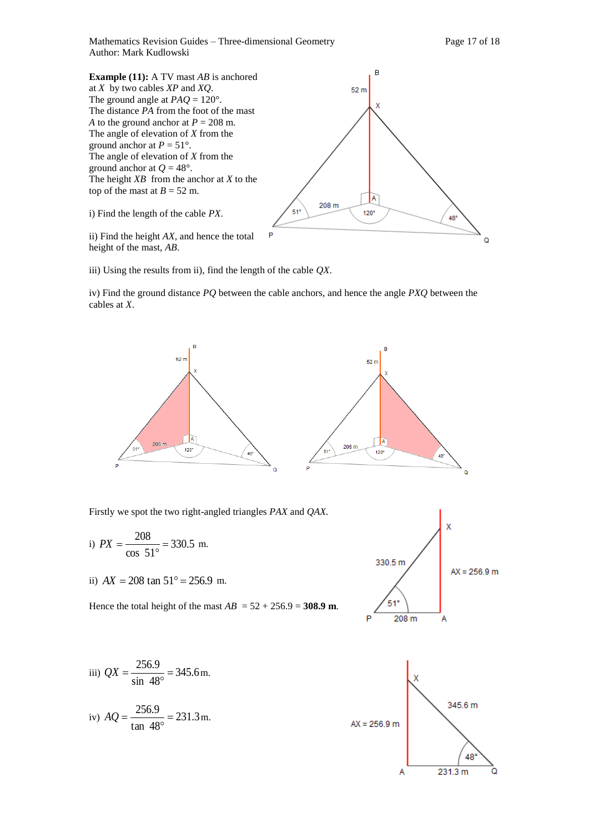Mathematics Revision Guides – Three-dimensional Geometry Page 17 of 18 Author: Mark Kudlowski

ö

B **Example (11):** A TV mast *AB* is anchored at *X* by two cables *XP* and *XQ*.  $52<sub>m</sub>$ The ground angle at  $PAO = 120^{\circ}$ . The distance *PA* from the foot of the mast *A* to the ground anchor at  $P = 208$  m. The angle of elevation of *X* from the ground anchor at  $P = 51^\circ$ . The angle of elevation of *X* from the ground anchor at  $Q = 48^\circ$ . The height *XB* from the anchor at *X* to the top of the mast at  $B = 52$  m. A 208 m  $120^\circ$ i) Find the length of the cable *PX*. 51 48° ii) Find the height *AX*, and hence the total

height of the mast, *AB*.

iii) Using the results from ii), find the length of the cable *QX*.

iv) Find the ground distance *PQ* between the cable anchors, and hence the angle *PXQ* between the cables at *X*.



Firstly we spot the two right-angled triangles *PAX* and *QAX.* 

i) 
$$
PX = \frac{208}{\cos 51^\circ} = 330.5 \text{ m.}
$$

ii)  $AX = 208 \tan 51^\circ = 256.9 \text{ m.}$ 

Hence the total height of the mast  $AB = 52 + 256.9 = 308.9$  m.



iii)  $QX = \frac{2580.5}{1000} = 345.6$ sin 48  $\frac{256.9}{2}$  =  $\circ$  $QX = \frac{256.5}{1000} = 345.6$  m.

iv) 
$$
AQ = \frac{256.9}{\tan 48^\circ} = 231.3 \text{ m}.
$$